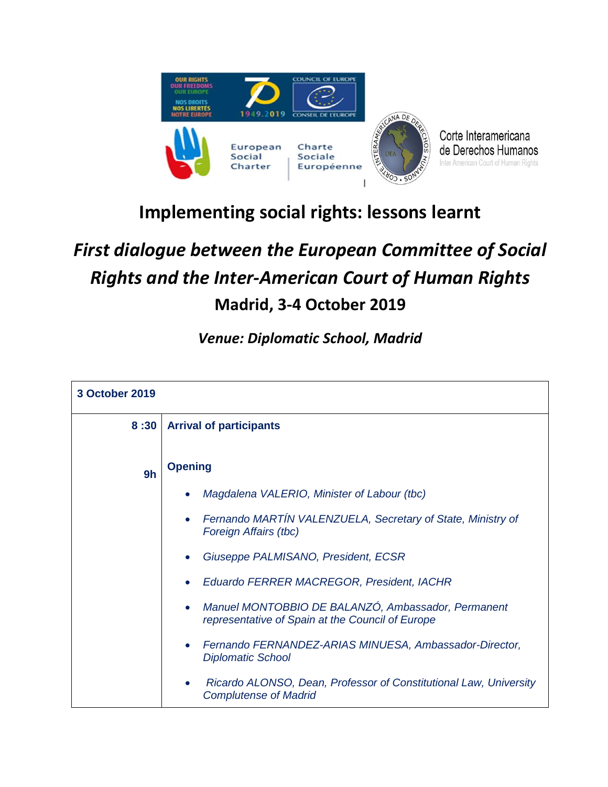



## **Implementing social rights: lessons learnt**

## *First dialogue between the European Committee of Social Rights and the Inter-American Court of Human Rights*  **Madrid, 3-4 October 2019**

*Venue: Diplomatic School, Madrid*

| <b>3 October 2019</b> |                                                                                                        |
|-----------------------|--------------------------------------------------------------------------------------------------------|
| 8:30                  | <b>Arrival of participants</b>                                                                         |
| 9h                    | <b>Opening</b>                                                                                         |
|                       | Magdalena VALERIO, Minister of Labour (tbc)                                                            |
|                       | Fernando MARTÍN VALENZUELA, Secretary of State, Ministry of<br>Foreign Affairs (tbc)                   |
|                       | Giuseppe PALMISANO, President, ECSR                                                                    |
|                       | Eduardo FERRER MACREGOR, President, IACHR                                                              |
|                       | Manuel MONTOBBIO DE BALANZÓ, Ambassador, Permanent<br>representative of Spain at the Council of Europe |
|                       | Fernando FERNANDEZ-ARIAS MINUESA, Ambassador-Director,<br>$\bullet$<br><b>Diplomatic School</b>        |
|                       | Ricardo ALONSO, Dean, Professor of Constitutional Law, University<br><b>Complutense of Madrid</b>      |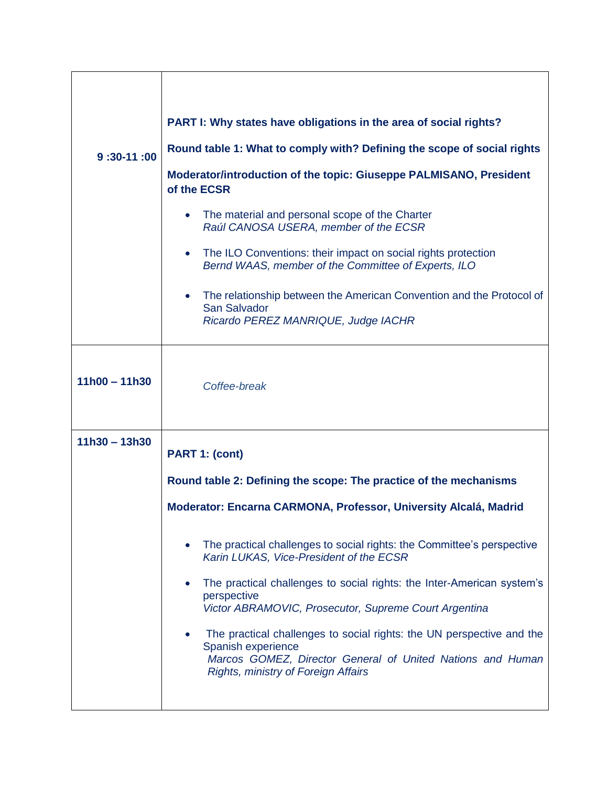| $9:30-11:00$    | PART I: Why states have obligations in the area of social rights?<br>Round table 1: What to comply with? Defining the scope of social rights<br>Moderator/introduction of the topic: Giuseppe PALMISANO, President<br>of the ECSR<br>The material and personal scope of the Charter<br>$\bullet$<br>Raúl CANOSA USERA, member of the ECSR<br>The ILO Conventions: their impact on social rights protection<br>Bernd WAAS, member of the Committee of Experts, ILO<br>The relationship between the American Convention and the Protocol of<br>San Salvador<br>Ricardo PEREZ MANRIQUE, Judge IACHR                                          |
|-----------------|-------------------------------------------------------------------------------------------------------------------------------------------------------------------------------------------------------------------------------------------------------------------------------------------------------------------------------------------------------------------------------------------------------------------------------------------------------------------------------------------------------------------------------------------------------------------------------------------------------------------------------------------|
| $11h00 - 11h30$ | Coffee-break                                                                                                                                                                                                                                                                                                                                                                                                                                                                                                                                                                                                                              |
| $11h30 - 13h30$ | PART 1: (cont)<br>Round table 2: Defining the scope: The practice of the mechanisms<br>Moderator: Encarna CARMONA, Professor, University Alcalá, Madrid<br>The practical challenges to social rights: the Committee's perspective<br>Karin LUKAS, Vice-President of the ECSR<br>The practical challenges to social rights: the Inter-American system's<br>perspective<br>Victor ABRAMOVIC, Prosecutor, Supreme Court Argentina<br>The practical challenges to social rights: the UN perspective and the<br>Spanish experience<br>Marcos GOMEZ, Director General of United Nations and Human<br><b>Rights, ministry of Foreign Affairs</b> |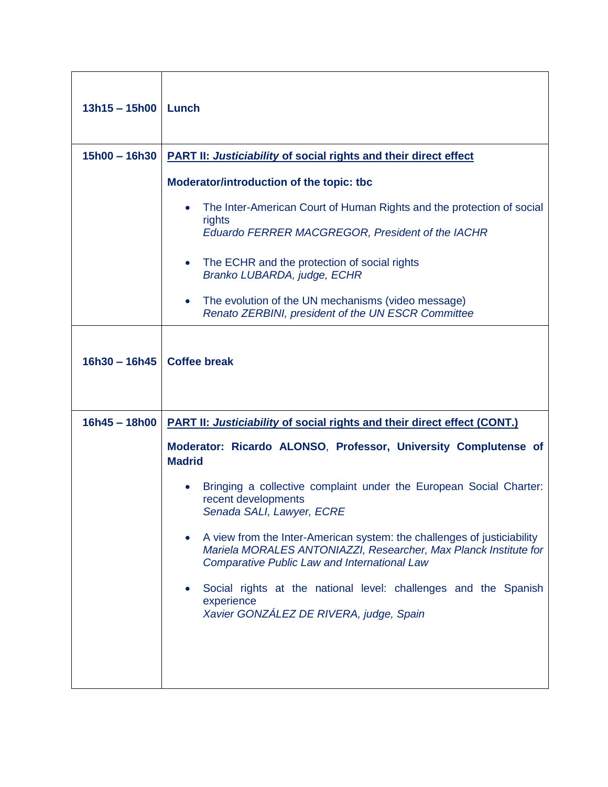| $13h15 - 15h00$ | Lunch                                                                                                                                                                                                                                                                                                                                                                                                                                                                                                                                        |
|-----------------|----------------------------------------------------------------------------------------------------------------------------------------------------------------------------------------------------------------------------------------------------------------------------------------------------------------------------------------------------------------------------------------------------------------------------------------------------------------------------------------------------------------------------------------------|
| $15h00 - 16h30$ | <b>PART II: Justiciability of social rights and their direct effect</b>                                                                                                                                                                                                                                                                                                                                                                                                                                                                      |
|                 | Moderator/introduction of the topic: tbc<br>The Inter-American Court of Human Rights and the protection of social<br>rights<br>Eduardo FERRER MACGREGOR, President of the IACHR<br>The ECHR and the protection of social rights<br>Branko LUBARDA, judge, ECHR<br>The evolution of the UN mechanisms (video message)<br>$\bullet$<br>Renato ZERBINI, president of the UN ESCR Committee                                                                                                                                                      |
| $16h30 - 16h45$ | <b>Coffee break</b>                                                                                                                                                                                                                                                                                                                                                                                                                                                                                                                          |
| $16h45 - 18h00$ | <b>PART II: Justiciability of social rights and their direct effect (CONT.)</b>                                                                                                                                                                                                                                                                                                                                                                                                                                                              |
|                 | Moderator: Ricardo ALONSO, Professor, University Complutense of<br><b>Madrid</b><br>Bringing a collective complaint under the European Social Charter:<br>recent developments<br>Senada SALI, Lawyer, ECRE<br>A view from the Inter-American system: the challenges of justiciability<br>Mariela MORALES ANTONIAZZI, Researcher, Max Planck Institute for<br><b>Comparative Public Law and International Law</b><br>Social rights at the national level: challenges and the Spanish<br>experience<br>Xavier GONZÁLEZ DE RIVERA, judge, Spain |
|                 |                                                                                                                                                                                                                                                                                                                                                                                                                                                                                                                                              |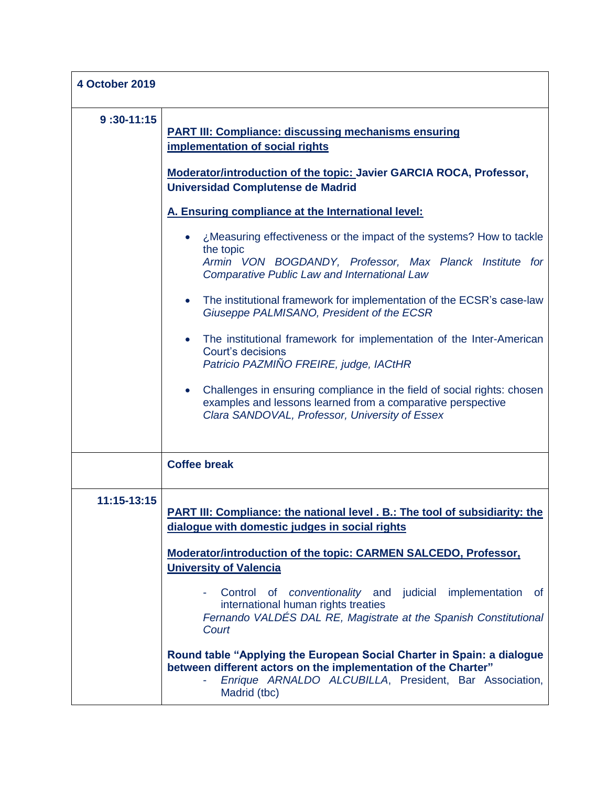| <b>4 October 2019</b> |                                                                                                                                                                                                                    |
|-----------------------|--------------------------------------------------------------------------------------------------------------------------------------------------------------------------------------------------------------------|
| $9:30-11:15$          | <b>PART III: Compliance: discussing mechanisms ensuring</b><br>implementation of social rights<br>Moderator/introduction of the topic: Javier GARCIA ROCA, Professor,<br><b>Universidad Complutense de Madrid</b>  |
|                       | A. Ensuring compliance at the International level:                                                                                                                                                                 |
|                       | ¿Measuring effectiveness or the impact of the systems? How to tackle<br>the topic<br>Armin VON BOGDANDY, Professor, Max Planck Institute for<br><b>Comparative Public Law and International Law</b>                |
|                       | The institutional framework for implementation of the ECSR's case-law<br>$\bullet$<br>Giuseppe PALMISANO, President of the ECSR                                                                                    |
|                       | The institutional framework for implementation of the Inter-American<br>Court's decisions<br>Patricio PAZMIÑO FREIRE, judge, IACtHR                                                                                |
|                       | Challenges in ensuring compliance in the field of social rights: chosen<br>examples and lessons learned from a comparative perspective<br>Clara SANDOVAL, Professor, University of Essex                           |
|                       | <b>Coffee break</b>                                                                                                                                                                                                |
| 11:15-13:15           | <b>PART III: Compliance: the national level . B.: The tool of subsidiarity: the</b><br>dialogue with domestic judges in social rights                                                                              |
|                       | <b>Moderator/introduction of the topic: CARMEN SALCEDO, Professor,</b><br><b>University of Valencia</b>                                                                                                            |
|                       | implementation<br>Control of <i>conventionality</i> and judicial<br><b>of</b><br>international human rights treaties<br>Fernando VALDÉS DAL RE, Magistrate at the Spanish Constitutional<br>Court                  |
|                       | Round table "Applying the European Social Charter in Spain: a dialogue<br>between different actors on the implementation of the Charter"<br>Enrique ARNALDO ALCUBILLA, President, Bar Association,<br>Madrid (tbc) |